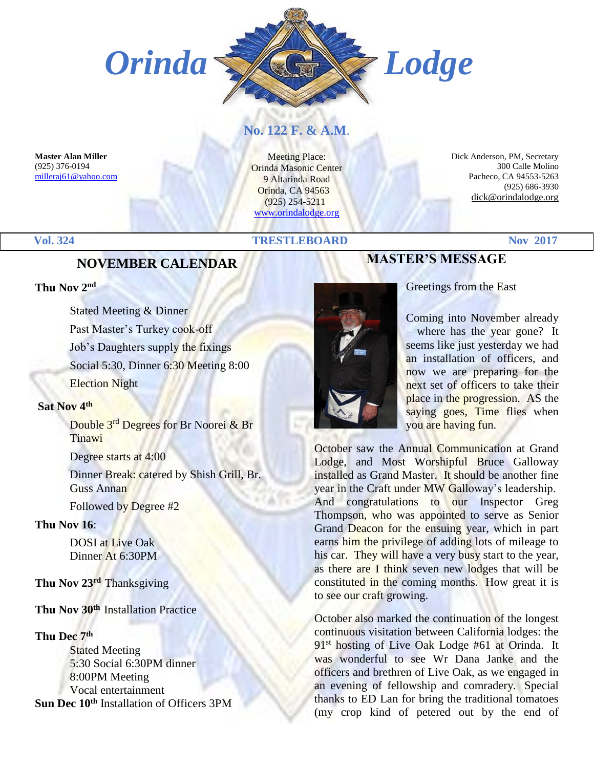

#### **No. 122 F. & A.M**.

**Master Alan Miller** (925) 376-0194 [milleraj61@yahoo.com](mailto:milleraj61@yahoo.com)

Meeting Place: Orinda Masonic Center 9 Altarinda Road Orinda, CA 94563 (925) 254-5211 [www.orindalodge.org](http://www.orindalodge.org/)

 Dick Anderson, PM, Secretary 300 Calle Molino Pacheco, CA 94553-5263 (925) 686-3930 dick@orindalodge.org

#### **Vol. 324 TRESTLEBOARD Nov 2017**

#### **NOVEMBER CALENDAR**

#### **Thu Nov 2nd**

Stated Meeting & Dinner Past Master's Turkey cook-off Job's Daughters supply the fixings Social 5:30, Dinner 6:30 Meeting 8:00 Election Night

#### **Sat Nov 4th**

Double 3rd Degrees for Br Noorei & Br **Tinawi** 

Degree starts at 4:00

Dinner Break: catered by Shish Grill, Br. Guss Annan

Followed by Degree #2

#### **Thu Nov 16**:

DOSI at Live Oak Dinner At 6:30PM

**Thu Nov 23rd** Thanksgiving

#### **Thu Nov 30th** Installation Practice

#### **Thu Dec 7th**

Stated Meeting 5:30 Social 6:30PM dinner 8:00PM Meeting Vocal entertainment **Sun Dec 10th** Installation of Officers 3PM



Greetings from the East

Coming into November already – where has the year gone? It seems like just yesterday we had an installation of officers, and now we are preparing for the next set of officers to take their place in the progression. AS the saying goes, Time flies when you are having fun.

October saw the Annual Communication at Grand Lodge, and Most Worshipful Bruce Galloway installed as Grand Master. It should be another fine year in the Craft under MW Galloway's leadership. And congratulations to our Inspector Greg Thompson, who was appointed to serve as Senior Grand Deacon for the ensuing year, which in part earns him the privilege of adding lots of mileage to his car. They will have a very busy start to the year, as there are I think seven new lodges that will be constituted in the coming months. How great it is to see our craft growing.

October also marked the continuation of the longest continuous visitation between California lodges: the 91<sup>st</sup> hosting of Live Oak Lodge #61 at Orinda. It was wonderful to see Wr Dana Janke and the officers and brethren of Live Oak, as we engaged in an evening of fellowship and comradery. Special thanks to ED Lan for bring the traditional tomatoes (my crop kind of petered out by the end of

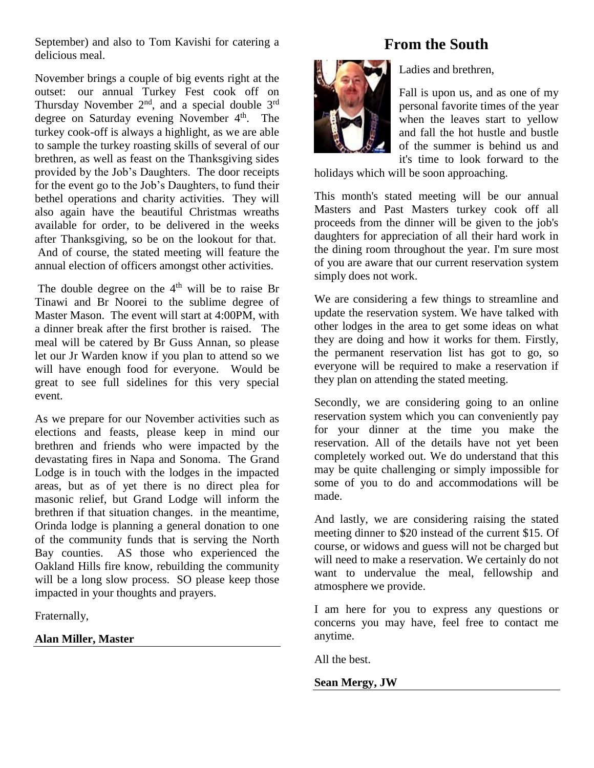September) and also to Tom Kavishi for catering a delicious meal.

November brings a couple of big events right at the outset: our annual Turkey Fest cook off on Thursday November  $2<sup>nd</sup>$ , and a special double  $3<sup>rd</sup>$ degree on Saturday evening November 4<sup>th</sup>. The turkey cook-off is always a highlight, as we are able to sample the turkey roasting skills of several of our brethren, as well as feast on the Thanksgiving sides provided by the Job's Daughters. The door receipts for the event go to the Job's Daughters, to fund their bethel operations and charity activities. They will also again have the beautiful Christmas wreaths available for order, to be delivered in the weeks after Thanksgiving, so be on the lookout for that. And of course, the stated meeting will feature the annual election of officers amongst other activities.

The double degree on the  $4<sup>th</sup>$  will be to raise Br Tinawi and Br Noorei to the sublime degree of Master Mason. The event will start at 4:00PM, with a dinner break after the first brother is raised. The meal will be catered by Br Guss Annan, so please let our Jr Warden know if you plan to attend so we will have enough food for everyone. Would be great to see full sidelines for this very special event.

As we prepare for our November activities such as elections and feasts, please keep in mind our brethren and friends who were impacted by the devastating fires in Napa and Sonoma. The Grand Lodge is in touch with the lodges in the impacted areas, but as of yet there is no direct plea for masonic relief, but Grand Lodge will inform the brethren if that situation changes. in the meantime, Orinda lodge is planning a general donation to one of the community funds that is serving the North Bay counties. AS those who experienced the Oakland Hills fire know, rebuilding the community will be a long slow process. SO please keep those impacted in your thoughts and prayers.

Fraternally,

#### **Alan Miller, Master**

## **From the South**



Ladies and brethren,

Fall is upon us, and as one of my personal favorite times of the year when the leaves start to yellow and fall the hot hustle and bustle of the summer is behind us and it's time to look forward to the

holidays which will be soon approaching.

This month's stated meeting will be our annual Masters and Past Masters turkey cook off all proceeds from the dinner will be given to the job's daughters for appreciation of all their hard work in the dining room throughout the year. I'm sure most of you are aware that our current reservation system simply does not work.

We are considering a few things to streamline and update the reservation system. We have talked with other lodges in the area to get some ideas on what they are doing and how it works for them. Firstly, the permanent reservation list has got to go, so everyone will be required to make a reservation if they plan on attending the stated meeting.

Secondly, we are considering going to an online reservation system which you can conveniently pay for your dinner at the time you make the reservation. All of the details have not yet been completely worked out. We do understand that this may be quite challenging or simply impossible for some of you to do and accommodations will be made.

And lastly, we are considering raising the stated meeting dinner to \$20 instead of the current \$15. Of course, or widows and guess will not be charged but will need to make a reservation. We certainly do not want to undervalue the meal, fellowship and atmosphere we provide.

I am here for you to express any questions or concerns you may have, feel free to contact me anytime.

All the best.

#### **Sean Mergy, JW**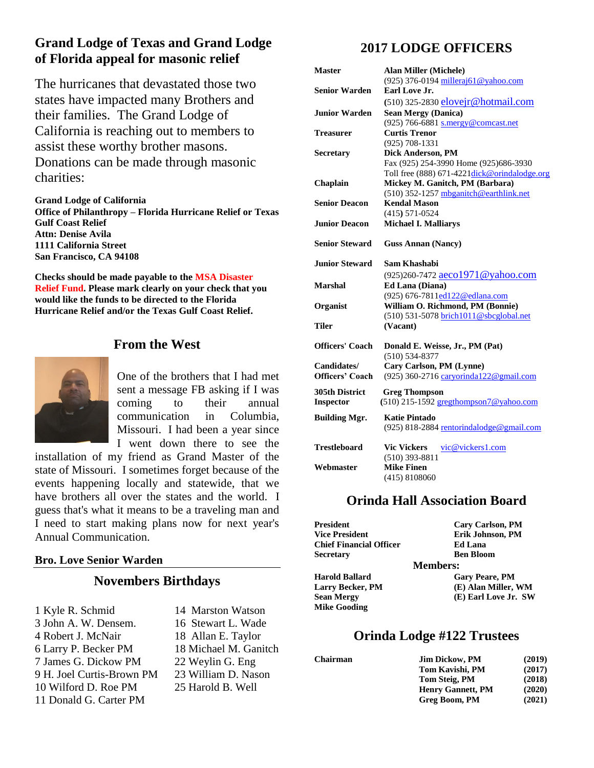#### **Grand Lodge of Texas and Grand Lodge of Florida appeal for masonic relief**

The hurricanes that devastated those two states have impacted many Brothers and their families. The Grand Lodge of California is reaching out to members to assist these worthy brother masons. Donations can be made through masonic charities:

**Grand Lodge of California Office of Philanthropy – Florida Hurricane Relief or Texas Gulf Coast Relief Attn: Denise Avila 1111 California Street San Francisco, CA 94108**

**Checks should be made payable to the MSA Disaster Relief Fund. Please mark clearly on your check that you would like the funds to be directed to the Florida Hurricane Relief and/or the Texas Gulf Coast Relief.**

#### **From the West**



One of the brothers that I had met sent a message FB asking if I was coming to their annual communication in Columbia, Missouri. I had been a year since I went down there to see the

installation of my friend as Grand Master of the state of Missouri. I sometimes forget because of the events happening locally and statewide, that we have brothers all over the states and the world. I guess that's what it means to be a traveling man and I need to start making plans now for next year's Annual Communication.

#### **Bro. Love Senior Warden**

#### **Novembers Birthdays**

1 Kyle R. Schmid 14 Marston Watson 3 John A. W. Densem. 16 Stewart L. Wade 4 Robert J. McNair 18 Allan E. Taylor 6 Larry P. Becker PM 18 Michael M. Ganitch 7 James G. Dickow PM 22 Weylin G. Eng 9 H. Joel Curtis-Brown PM 23 William D. Nason 10 Wilford D. Roe PM 25 Harold B. Well 11 Donald G. Carter PM

#### **2017 LODGE OFFICERS**

| Master                 | <b>Alan Miller (Michele)</b>                        |
|------------------------|-----------------------------------------------------|
|                        | (925) 376-0194 milleraj61@yahoo.com                 |
| <b>Senior Warden</b>   | Earl Love Jr.                                       |
|                        | (510) 325-2830 elovejr@hotmail.com                  |
| Junior Warden          | <b>Sean Mergy (Danica)</b>                          |
|                        | (925) 766-6881 s.mergy@comcast.net                  |
| Treasurer              | <b>Curtis Trenor</b>                                |
|                        | $(925)$ 708-1331                                    |
| <b>Secretary</b>       | <b>Dick Anderson, PM</b>                            |
|                        | Fax (925) 254-3990 Home (925) 686-3930              |
|                        | Toll free (888) 671-4221dick@orindalodge.org        |
| Chaplain               | Mickey M. Ganitch, PM (Barbara)                     |
|                        | (510) 352-1257 mbganitch@earthlink.net              |
| <b>Senior Deacon</b>   | <b>Kendal Mason</b>                                 |
|                        | $(415) 571 - 0524$                                  |
| <b>Junior Deacon</b>   | <b>Michael I. Malliarys</b>                         |
|                        |                                                     |
| <b>Senior Steward</b>  | <b>Guss Annan (Nancy)</b>                           |
| <b>Junior Steward</b>  | Sam Khashabi                                        |
|                        | (925)260-7472 aeco1971@yahoo.com                    |
| <b>Marshal</b>         | Ed Lana (Diana)                                     |
|                        | (925) 676-7811ed122@edlana.com                      |
| Organist               | William O. Richmond, PM (Bonnie)                    |
|                        | (510) 531-5078 brich1011@sbcglobal.net              |
| Tiler                  | (Vacant)                                            |
|                        |                                                     |
| <b>Officers' Coach</b> | Donald E. Weisse, Jr., PM (Pat)<br>$(510) 534-8377$ |
| Candidates/            | Cary Carlson, PM (Lynne)                            |
| <b>Officers' Coach</b> |                                                     |
|                        | (925) 360-2716 caryorinda122@gmail.com              |
| 305th District         | <b>Greg Thompson</b>                                |
| <b>Inspector</b>       | $(510)$ 215-1592 gregthompson7@yahoo.com            |
| <b>Building Mgr.</b>   | <b>Katie Pintado</b>                                |
|                        | (925) 818-2884 rentorindalodge@gmail.com            |
|                        |                                                     |
| <b>Trestleboard</b>    | <b>Vic Vickers</b><br>vic@vickers1.com              |
|                        | $(510)$ 393-8811                                    |
| Webmaster              | <b>Mike Finen</b>                                   |
|                        | (415) 8108060                                       |

#### **Orinda Hall Association Board**

| President                      | <b>Cary Carlson, PM</b> |
|--------------------------------|-------------------------|
| <b>Vice President</b>          | Erik Johnson, PM        |
| <b>Chief Financial Officer</b> | <b>Ed Lana</b>          |
| Secretary                      | <b>Ben Bloom</b>        |
|                                | <b>Members:</b>         |
| Harold Ballard                 | <b>Gary Peare, PM</b>   |
| <b>Larry Becker, PM</b>        | (E) Alan Miller, WM     |
| Sean Mergy                     | (E) Earl Love Jr. SW    |
| <b>Mike Gooding</b>            |                         |

#### **Orinda Lodge #122 Trustees**

| Chairman | <b>Jim Dickow, PM</b>    | (2019) |
|----------|--------------------------|--------|
|          | Tom Kavishi, PM          | (2017) |
|          | Tom Steig, PM            | (2018) |
|          | <b>Henry Gannett, PM</b> | (2020) |
|          | Greg Boom, PM            | (2021) |